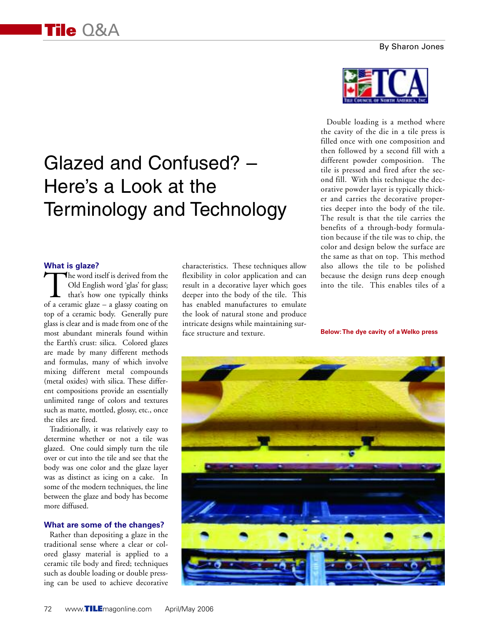# Glazed and Confused? – Here's a Look at the Terminology and Technology

### **What is glaze?**

The word itself is derived from the<br>Old English word 'glas' for glass;<br>that's how one typically thinks<br>of a ceramic glaze – a glassy coating on Old English word 'glas' for glass; that's how one typically thinks of a ceramic glaze – a glassy coating on top of a ceramic body. Generally pure glass is clear and is made from one of the most abundant minerals found within the Earth's crust: silica. Colored glazes are made by many different methods and formulas, many of which involve mixing different metal compounds (metal oxides) with silica. These different compositions provide an essentially unlimited range of colors and textures such as matte, mottled, glossy, etc., once the tiles are fired.

Traditionally, it was relatively easy to determine whether or not a tile was glazed. One could simply turn the tile over or cut into the tile and see that the body was one color and the glaze layer was as distinct as icing on a cake. In some of the modern techniques, the line between the glaze and body has become more diffused.

#### **What are some of the changes?**

Rather than depositing a glaze in the traditional sense where a clear or colored glassy material is applied to a ceramic tile body and fired; techniques such as double loading or double pressing can be used to achieve decorative characteristics. These techniques allow flexibility in color application and can result in a decorative layer which goes deeper into the body of the tile. This has enabled manufactures to emulate the look of natural stone and produce intricate designs while maintaining surface structure and texture.



Double loading is a method where the cavity of the die in a tile press is filled once with one composition and then followed by a second fill with a different powder composition. The tile is pressed and fired after the second fill. With this technique the decorative powder layer is typically thicker and carries the decorative properties deeper into the body of the tile. The result is that the tile carries the benefits of a through-body formulation because if the tile was to chip, the color and design below the surface are the same as that on top. This method also allows the tile to be polished because the design runs deep enough into the tile. This enables tiles of a

**Below:The dye cavity of a Welko press**

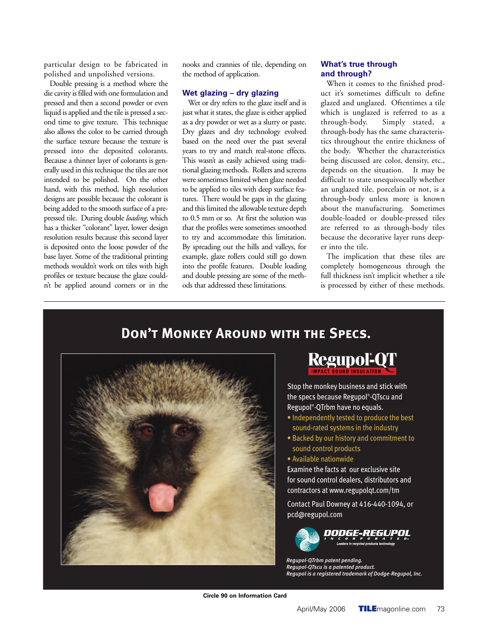particular design to be fabricated in polished and unpolished versions.

Double pressing is a method where the die cavity is filled with one formulation and pressed and then a second powder or even liquid is applied and the tile is pressed a second time to give texture. This technique also allows the color to be carried through the surface texture because the texture is pressed into the deposited colorants. Because a thinner layer of colorants is generally used in this technique the tiles are not intended to be polished. On the other hand, with this method, high resolution designs are possible because the colorant is being added to the smooth surface of a prepressed tile. During double *loading*, which has a thicker "colorant" layer, lower design resolution results because this second layer is deposited onto the loose powder of the base layer. Some of the traditional printing methods wouldn't work on tiles with high profiles or texture because the glaze couldn't be applied around corners or in the

nooks and crannies of tile, depending on the method of application.

#### **Wet glazing – dry glazing**

Wet or dry refers to the glaze itself and is just what it states, the glaze is either applied as a dry powder or wet as a slurry or paste. Dry glazes and dry technology evolved based on the need over the past several years to try and match real-stone effects. This wasn't as easily achieved using traditional glazing methods. Rollers and screens were sometimes limited when glaze needed to be applied to tiles with deep surface features. There would be gaps in the glazing and this limited the allowable texture depth to 0.5 mm or so. At first the solution was that the profiles were sometimes smoothed to try and accommodate this limitation. By spreading out the hills and valleys, for example, glaze rollers could still go down into the profile features. Double loading and double pressing are some of the methods that addressed these limitations.

# **What's true through and through?**

When it comes to the finished product it's sometimes difficult to define glazed and unglazed. Oftentimes a tile which is unglazed is referred to as a through-body. Simply stated, a through-body has the same characteristics throughout the entire thickness of the body. Whether the characteristics being discussed are color, density, etc., depends on the situation. It may be difficult to state unequivocally whether an unglazed tile, porcelain or not, is a through-body unless more is known about the manufacturing. Sometimes double-loaded or double-pressed tiles are referred to as through-body tiles because the decorative layer runs deeper into the tile.

The implication that these tiles are completely homogeneous through the full thickness isn't implicit whether a tile is processed by either of these methods.



# **DON'T MONKEY AROUND WITH THE SPECS.**

**Regupol-QT** 

Stop the monkey business and stick with the specs because Regupol®-QTscu and Regupol®-QTrbm have no equals.

- Independently tested to produce the best sound-rated systems in the industry
- Backed by our history and commitment to sound control products
- Available nationwide

Examine the facts at our exclusive site for sound control dealers, distributors and contractors at www.regupolgt.com/tm

Contact Paul Downey at 416-440-1094, or pcd@regupol.com



*3FHVQPM25SCN QBUFOU QFOEJOH Regupol-QTscu is a patented product. Aegupol is a registered trademark of Dodge-Regupol, Inc.* 

**Circle 90 on Information Card**